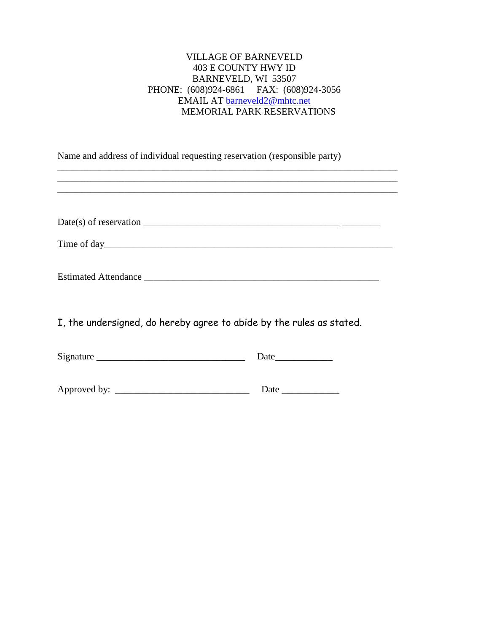## VILLAGE OF BARNEVELD 403 E COUNTY HWY ID BARNEVELD, WI 53507 PHONE: (608)924-6861 FAX: (608)924-3056 EMAIL AT [barneveld2@mhtc.net](mailto:barneveld2@mhtc.net) MEMORIAL PARK RESERVATIONS

Name and address of individual requesting reservation (responsible party)

| Date(s) of reservation |  |  |
|------------------------|--|--|
|------------------------|--|--|

\_\_\_\_\_\_\_\_\_\_\_\_\_\_\_\_\_\_\_\_\_\_\_\_\_\_\_\_\_\_\_\_\_\_\_\_\_\_\_\_\_\_\_\_\_\_\_\_\_\_\_\_\_\_\_\_\_\_\_\_\_\_\_\_\_\_\_\_\_\_\_ \_\_\_\_\_\_\_\_\_\_\_\_\_\_\_\_\_\_\_\_\_\_\_\_\_\_\_\_\_\_\_\_\_\_\_\_\_\_\_\_\_\_\_\_\_\_\_\_\_\_\_\_\_\_\_\_\_\_\_\_\_\_\_\_\_\_\_\_\_\_\_ \_\_\_\_\_\_\_\_\_\_\_\_\_\_\_\_\_\_\_\_\_\_\_\_\_\_\_\_\_\_\_\_\_\_\_\_\_\_\_\_\_\_\_\_\_\_\_\_\_\_\_\_\_\_\_\_\_\_\_\_\_\_\_\_\_\_\_\_\_\_\_

| <b>Estimated Attendance</b> |
|-----------------------------|
|-----------------------------|

I, the undersigned, do hereby agree to abide by the rules as stated.

Signature \_\_\_\_\_\_\_\_\_\_\_\_\_\_\_\_\_\_\_\_\_\_\_\_\_\_\_\_\_\_\_ Date\_\_\_\_\_\_\_\_\_\_\_\_

Approved by: \_\_\_\_\_\_\_\_\_\_\_\_\_\_\_\_\_\_\_\_\_\_\_\_\_\_\_\_ Date \_\_\_\_\_\_\_\_\_\_\_\_